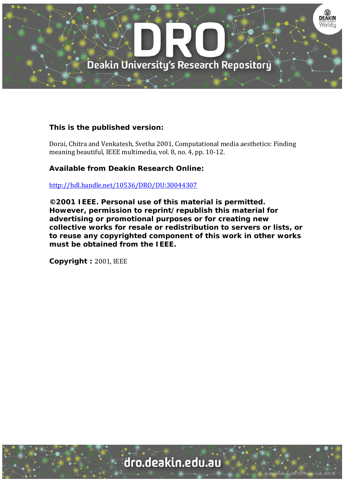

# **This is the published version:**

Dorai, Chitra and Venkatesh, Svetha 2001, Computational media aesthetics: Finding meaning beautiful, IEEE multimedia, vol. 8, no. 4, pp. 10-12.

# **Available from Deakin Research Online:**

[http://hdl.handle.net/10536/DRO/DU:3](http://hdl.handle.net/10536/DRO/DU:30028569/)0044307

**©2001 IEEE. Personal use of this material is permitted. However, permission to reprint/republish this material for advertising or promotional purposes or for creating new collective works for resale or redistribution to servers or lists, or to reuse any copyrighted component of this work in other works must be obtained from the IEEE.**

**Copyright :** 2001, IEEE

.<br>Iniversity CRICOS Provider Code: 001138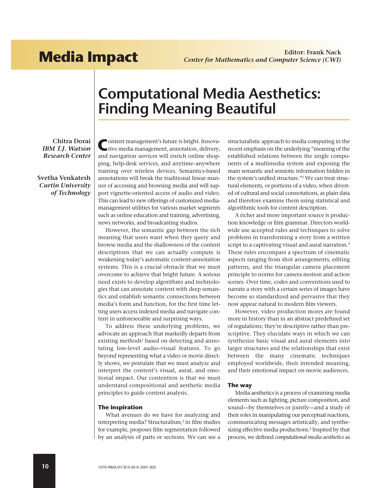# **Computational Media Aesthetics: Finding Meaning Beautiful**

**Chitra Dorai** *IBM T.J. Watson Research Center*

**Svetha Venkatesh** *Curtin University of Technology*

Content management's future is bright. Innovative media management, annotation, delivery, and navigation services will enrich online shopping, help-desk services, and anytime–anywhere training over wireless devices. Semantics-based annotations will break the traditional linear manner of accessing and browsing media and will support vignette-oriented access of audio and video. This can lead to new offerings of customized mediamanagement utilities for various market segments such as online education and training, advertising, news networks, and broadcasting studios.

However, the semantic gap between the rich meaning that users want when they query and browse media and the shallowness of the content descriptions that we can actually compute is weakening today's automatic content-annotation systems. This is a crucial obstacle that we must overcome to achieve that bright future. A serious need exists to develop algorithms and technologies that can annotate content with deep semantics and establish semantic connections between media's form and function, for the first time letting users access indexed media and navigate content in unforeseeable and surprising ways.

To address these underlying problems, we advocate an approach that markedly departs from existing methods<sup>1</sup> based on detecting and annotating low-level audio–visual features. To go beyond representing what a video or movie directly shows, we postulate that we must analyze and interpret the content's visual, aural, and emotional impact. Our contention is that we must understand compositional and aesthetic media principles to guide content analysis.

#### **The inspiration**

What avenues do we have for analyzing and interpreting media? Structuralism,<sup>2</sup> in film studies for example, proposes film segmentation followed by an analysis of parts or sections. We can see a

structuralistic approach to media computing in the recent emphasis on the underlying "meaning of the established relations between the single components of a multimedia system and exposing the main semantic and semiotic information hidden in the system's unified structure."3 We can treat structural elements, or portions of a video, when divested of cultural and social connotations, as plain data and therefore examine them using statistical and algorithmic tools for content description.

A richer and more important source is production knowledge or film grammar. Directors worldwide use accepted rules and techniques to solve problems in transforming a story from a written script to a captivating visual and aural narration.<sup>4</sup> These rules encompass a spectrum of cinematic aspects ranging from shot arrangements, editing patterns, and the triangular camera placement principle to norms for camera motion and action scenes. Over time, codes and conventions used to narrate a story with a certain series of images have become so standardized and pervasive that they now appear natural to modern film viewers.

However, video production mores are found more in history than in an abstract predefined set of regulations; they're descriptive rather than prescriptive. They elucidate ways in which we can synthesize basic visual and aural elements into larger structures and the relationships that exist between the many cinematic techniques employed worldwide, their intended meaning, and their emotional impact on movie audiences.

#### **The way**

Media aesthetics is a process of examining media elements such as lighting, picture composition, and sound—by themselves or jointly—and a study of their roles in manipulating our perceptual reactions, communicating messages artistically, and synthesizing effective media productions.<sup>5</sup> Inspired by that process, we defined *computational media aesthetics* as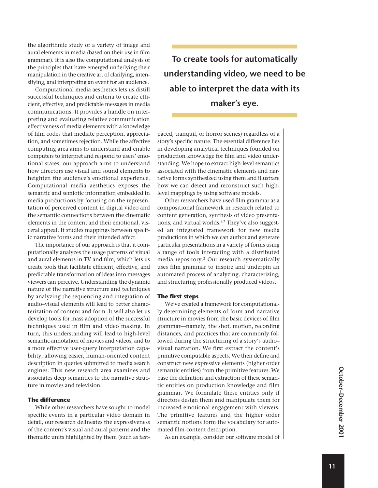the algorithmic study of a variety of image and aural elements in media (based on their use in film grammar). It is also the computational analysis of the principles that have emerged underlying their manipulation in the creative art of clarifying, intensifying, and interpreting an event for an audience.

Computational media aesthetics lets us distill successful techniques and criteria to create efficient, effective, and predictable messages in media communications. It provides a handle on interpreting and evaluating relative communication effectiveness of media elements with a knowledge of film codes that mediate perception, appreciation, and sometimes rejection. While the affective computing area aims to understand and enable computers to interpret and respond to users' emotional states, our approach aims to understand how directors use visual and sound elements to heighten the audience's emotional experience. Computational media aesthetics exposes the semantic and semiotic information embedded in media productions by focusing on the representation of perceived content in digital video and the semantic connections between the cinematic elements in the content and their emotional, visceral appeal. It studies mappings between specific narrative forms and their intended affect.

The importance of our approach is that it computationally analyzes the usage patterns of visual and aural elements in TV and film, which lets us create tools that facilitate efficient, effective, and predictable transformation of ideas into messages viewers can perceive. Understanding the dynamic nature of the narrative structure and techniques by analyzing the sequencing and integration of audio–visual elements will lead to better characterization of content and form. It will also let us develop tools for mass adoption of the successful techniques used in film and video making. In turn, this understanding will lead to high-level semantic annotation of movies and videos, and to a more effective user-query interpretation capability, allowing easier, human-oriented content description in queries submitted to media search engines. This new research area examines and associates deep semantics to the narrative structure in movies and television.

## **The difference**

While other researchers have sought to model specific events in a particular video domain in detail, our research delineates the expressiveness of the content's visual and aural patterns and the thematic units highlighted by them (such as fast-

**To create tools for automatically understanding video, we need to be able to interpret the data with its maker's eye.**

paced, tranquil, or horror scenes) regardless of a story's specific nature. The essential difference lies in developing analytical techniques founded on production knowledge for film and video understanding. We hope to extract high-level semantics associated with the cinematic elements and narrative forms synthesized using them and illustrate how we can detect and reconstruct such highlevel mappings by using software models.

Other researchers have used film grammar as a compositional framework in research related to content generation, synthesis of video presentations, and virtual worlds.<sup>6,7</sup> They've also suggested an integrated framework for new media productions in which we can author and generate particular presentations in a variety of forms using a range of tools interacting with a distributed media repository.3 Our research systematically uses film grammar to inspire and underpin an automated process of analyzing, characterizing, and structuring professionally produced videos.

#### **The first steps**

We've created a framework for computationally determining elements of form and narrative structure in movies from the basic devices of film grammar—namely, the shot, motion, recording distances, and practices that are commonly followed during the structuring of a story's audio– visual narration. We first extract the content's primitive computable aspects. We then define and construct new expressive elements (higher order semantic entities) from the primitive features. We base the definition and extraction of these semantic entities on production knowledge and film grammar. We formulate these entities only if directors design them and manipulate them for increased emotional engagement with viewers. The primitive features and the higher order semantic notions form the vocabulary for automated film-content description.

As an example, consider our software model of